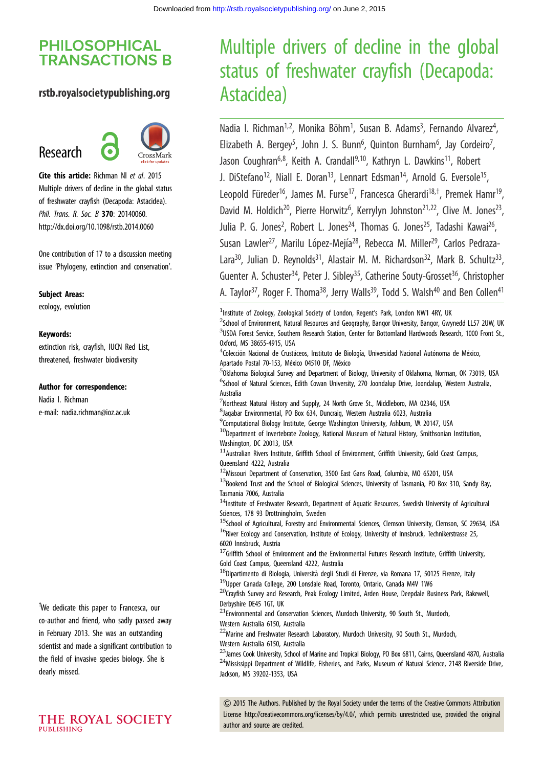# **PHILOSOPHICAL TRANSACTIONS B**

## rstb.royalsocietypublishing.org

# Research



Cite this article: Richman NI et al. 2015 Multiple drivers of decline in the global status of freshwater crayfish (Decapoda: Astacidea). Phil. Trans. R. Soc. B 370: 20140060. http://dx.doi.org/10.1098/rstb.2014.0060

One contribution of 17 to a discussion meeting issue 'Phylogeny, extinction and conservation'.

#### Subject Areas:

ecology, evolution

#### Keywords:

extinction risk, crayfish, IUCN Red List, threatened, freshwater biodiversity

#### Author for correspondence:

Nadia I. Richman e-mail: [nadia.richman@ioz.ac.uk](mailto:nadia.richman@ioz.ac.uk)

† We dedicate this paper to Francesca, our co-author and friend, who sadly passed away in February 2013. She was an outstanding scientist and made a significant contribution to the field of invasive species biology. She is dearly missed.

# Multiple drivers of decline in the global status of freshwater crayfish (Decapoda: Astacidea)

Nadia I. Richman<sup>1,2</sup>, Monika Böhm<sup>1</sup>, Susan B. Adams<sup>3</sup>, Fernando Alvarez<sup>4</sup> , Elizabeth A. Bergey<sup>5</sup>, John J. S. Bunn<sup>6</sup>, Quinton Burnham<sup>6</sup>, Jay Cordeiro<sup>7</sup> , Jason Coughran<sup>6,8</sup>, Keith A. Crandall<sup>9,10</sup>, Kathryn L. Dawkins<sup>11</sup>, Robert J. DiStefano<sup>12</sup>, Niall E. Doran<sup>13</sup>, Lennart Edsman<sup>14</sup>, Arnold G. Eversole<sup>15</sup>, Leopold Füreder<sup>16</sup>, James M. Furse<sup>17</sup>, Francesca Gherardi<sup>18,†</sup>, Premek Hamr<sup>19</sup>, David M. Holdich<sup>20</sup>, Pierre Horwitz<sup>6</sup>, Kerrylyn Johnston<sup>21,22</sup>, Clive M. Jones<sup>23</sup>, Julia P. G. Jones<sup>2</sup>, Robert L. Jones<sup>24</sup>, Thomas G. Jones<sup>25</sup>, Tadashi Kawai<sup>26</sup>, Susan Lawler<sup>27</sup>, Marilu López-Mejía<sup>28</sup>, Rebecca M. Miller<sup>29</sup>, Carlos Pedraza-Lara<sup>30</sup>, Julian D. Reynolds<sup>31</sup>, Alastair M. M. Richardson<sup>32</sup>, Mark B. Schultz<sup>33</sup>, Guenter A. Schuster<sup>34</sup>, Peter J. Sibley<sup>35</sup>, Catherine Souty-Grosset<sup>36</sup>, Christopher A. Taylor<sup>37</sup>, Roger F. Thoma<sup>38</sup>, Jerry Walls<sup>39</sup>, Todd S. Walsh<sup>40</sup> and Ben Collen<sup>41</sup>

<sup>1</sup>Institute of Zoology, Zoological Society of London, Regent's Park, London NW1 4RY, UK <sup>2</sup>School of Environment, Natural Resources and Geography, Bangor University, Bangor, Gwynedd LL57 2UW, UK <sup>3</sup>USDA Forest Service, Southern Research Station, Center for Bottomland Hardwoods Research, 1000 Front St., Oxford, MS 38655-4915, USA

<sup>4</sup>Colección Nacional de Crustáceos, Instituto de Biología, Universidad Nacional Autónoma de México, Apartado Postal 70-153, México 04510 DF, México

- 5 Oklahoma Biological Survey and Department of Biology, University of Oklahoma, Norman, OK 73019, USA <sup>6</sup>School of Natural Sciences, Edith Cowan University, 270 Joondalup Drive, Joondalup, Western Australia, Australia
- 7 Northeast Natural History and Supply, 24 North Grove St., Middleboro, MA 02346, USA 8 Jagabar Environmental, PO Box 634, Duncraig, Western Australia 6023, Australia
- <sup>9</sup> Computational Biology Institute, George Washington University, Ashburn, VA 20147, USA
- <sup>10</sup>Department of Invertebrate Zoology, National Museum of Natural History, Smithsonian Institution, Washington, DC 20013, USA
- $11$ Australian Rivers Institute, Griffith School of Environment, Griffith University, Gold Coast Campus, Queensland 4222, Australia
- <sup>12</sup>Missouri Department of Conservation, 3500 East Gans Road, Columbia, MO 65201, USA
- $13$ Bookend Trust and the School of Biological Sciences, University of Tasmania, PO Box 310, Sandy Bay, Tasmania 7006, Australia
- $14$ Institute of Freshwater Research, Department of Aquatic Resources, Swedish University of Agricultural Sciences, 178 93 Drottningholm, Sweden
- 15School of Agricultural, Forestry and Environmental Sciences, Clemson University, Clemson, SC 29634, USA  $^{16}$ River Ecology and Conservation, Institute of Ecology, University of Innsbruck, Technikerstrasse 25, 6020 Innsbruck, Austria
- $^{17}$ Griffith School of Environment and the Environmental Futures Research Institute, Griffith University, Gold Coast Campus, Queensland 4222, Australia
- $^{18}$ Dipartimento di Biologia, Università degli Studi di Firenze, via Romana 17, 50125 Firenze, Italy  $19$ Upper Canada College, 200 Lonsdale Road, Toronto, Ontario, Canada M4V 1W6
- <sup>20</sup>Crayfish Survey and Research, Peak Ecology Limited, Arden House, Deepdale Business Park, Bakewell, Derbyshire DE45 1GT, UK
- $21$ Environmental and Conservation Sciences, Murdoch University, 90 South St., Murdoch, Western Australia 6150, Australia
- <sup>22</sup>Marine and Freshwater Research Laboratory, Murdoch University, 90 South St., Murdoch, Western Australia 6150, Australia
- $^{23}$ James Cook University, School of Marine and Tropical Biology, PO Box 6811, Cairns, Queensland 4870, Australia  $^{24}$ Mississippi Department of Wildlife, Fisheries, and Parks, Museum of Natural Science, 2148 Riverside Drive, Jackson, MS 39202-1353, USA

& 2015 The Authors. Published by the Royal Society under the terms of the Creative Commons Attribution License http://creativecommons.org/licenses/by/4.0/, which permits unrestricted use, provided the original author and source are credited.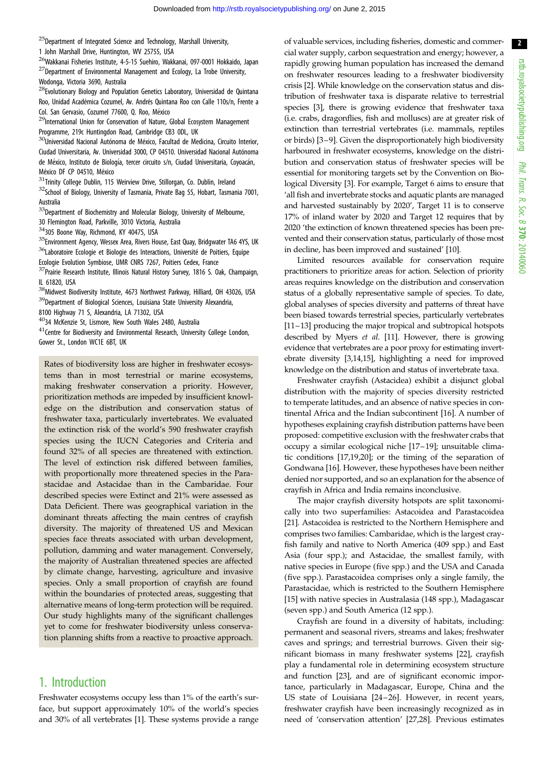$25$ Department of Integrated Science and Technology, Marshall University, 1 John Marshall Drive, Huntington, WV 25755, USA

 $^{26}$ Wakkanai Fisheries Institute, 4-5-15 Suehiro, Wakkanai, 097-0001 Hokkaido, Japan  $27$ Department of Environmental Management and Ecology, La Trobe University, Wodonga, Victoria 3690, Australia

<sup>28</sup>Evolutionary Biology and Population Genetics Laboratory, Universidad de Quintana Roo, Unidad Académica Cozumel, Av. Andrés Quintana Roo con Calle 110s/n, Frente a Col. San Gervasio, Cozumel 77600, Q. Roo, México

<sup>29</sup>International Union for Conservation of Nature, Global Ecosystem Management Programme, 219c Huntingdon Road, Cambridge CB3 0DL, UK

 $30$ Universidad Nacional Autónoma de México, Facultad de Medicina, Circuito Interior, Ciudad Universitaria, Av. Universidad 3000, CP 04510. Universidad Nacional Autónoma de México, Instituto de Biología, tercer circuito s/n, Ciudad Universitaria, Coyoacán, México DF CP 04510, México

<sup>31</sup>Trinity College Dublin, 115 Weirview Drive, Stillorgan, Co. Dublin, Ireland <sup>32</sup>School of Biology, University of Tasmania, Private Bag 55, Hobart, Tasmania 7001, Australia

<sup>33</sup>Department of Biochemistry and Molecular Biology, University of Melbourne,

30 Flemington Road, Parkville, 3010 Victoria, Australia

34305 Boone Way, Richmond, KY 40475, USA

 $35$ Environment Agency, Wessex Area, Rivers House, East Quay, Bridgwater TA6 4YS, UK <sup>36</sup>Laboratoire Ecologie et Biologie des Interactions, Université de Poitiers, Equipe

Ecologie Evolution Symbiose, UMR CNRS 7267, Poitiers Cedex, France

 $37$ Prairie Research Institute, Illinois Natural History Survey, 1816 S. Oak, Champaign, IL 61820, USA

<sup>38</sup>Midwest Biodiversity Institute, 4673 Northwest Parkway, Hilliard, OH 43026, USA <sup>39</sup>Department of Biological Sciences, Louisiana State University Alexandria,

8100 Highway 71 S, Alexandria, LA 71302, USA

<sup>40</sup>34 McKenzie St, Lismore, New South Wales 2480, Australia

 $41$ Centre for Biodiversity and Environmental Research, University College London, Gower St., London WC1E 6BT, UK

Rates of biodiversity loss are higher in freshwater ecosystems than in most terrestrial or marine ecosystems, making freshwater conservation a priority. However, prioritization methods are impeded by insufficient knowledge on the distribution and conservation status of freshwater taxa, particularly invertebrates. We evaluated the extinction risk of the world's 590 freshwater crayfish species using the IUCN Categories and Criteria and found 32% of all species are threatened with extinction. The level of extinction risk differed between families, with proportionally more threatened species in the Parastacidae and Astacidae than in the Cambaridae. Four described species were Extinct and 21% were assessed as Data Deficient. There was geographical variation in the dominant threats affecting the main centres of crayfish diversity. The majority of threatened US and Mexican species face threats associated with urban development, pollution, damming and water management. Conversely, the majority of Australian threatened species are affected by climate change, harvesting, agriculture and invasive species. Only a small proportion of crayfish are found within the boundaries of protected areas, suggesting that alternative means of long-term protection will be required. Our study highlights many of the significant challenges yet to come for freshwater biodiversity unless conservation planning shifts from a reactive to proactive approach.

## 1. Introduction

Freshwater ecosystems occupy less than 1% of the earth's surface, but support approximately 10% of the world's species and 30% of all vertebrates [[1](#page-8-0)]. These systems provide a range of valuable services, including fisheries, domestic and commercial water supply, carbon sequestration and energy; however, a rapidly growing human population has increased the demand on freshwater resources leading to a freshwater biodiversity crisis [\[2\]](#page-8-0). While knowledge on the conservation status and distribution of freshwater taxa is disparate relative to terrestrial species [\[3\]](#page-8-0), there is growing evidence that freshwater taxa (i.e. crabs, dragonflies, fish and molluscs) are at greater risk of extinction than terrestrial vertebrates (i.e. mammals, reptiles or birds) [\[3](#page-8-0)–[9](#page-8-0)]. Given the disproportionately high biodiversity harboured in freshwater ecosystems, knowledge on the distribution and conservation status of freshwater species will be essential for monitoring targets set by the Convention on Biological Diversity [\[3\]](#page-8-0). For example, Target 6 aims to ensure that 'all fish and invertebrate stocks and aquatic plants are managed and harvested sustainably by 2020', Target 11 is to conserve 17% of inland water by 2020 and Target 12 requires that by 2020 'the extinction of known threatened species has been prevented and their conservation status, particularly of those most in decline, has been improved and sustained' [[10\]](#page-8-0).

Limited resources available for conservation require practitioners to prioritize areas for action. Selection of priority areas requires knowledge on the distribution and conservation status of a globally representative sample of species. To date, global analyses of species diversity and patterns of threat have been biased towards terrestrial species, particularly vertebrates [[11](#page-8-0)–[13](#page-8-0)] producing the major tropical and subtropical hotspots described by Myers et al. [\[11](#page-8-0)]. However, there is growing evidence that vertebrates are a poor proxy for estimating invertebrate diversity [[3,14,15\]](#page-8-0), highlighting a need for improved knowledge on the distribution and status of invertebrate taxa.

Freshwater crayfish (Astacidea) exhibit a disjunct global distribution with the majority of species diversity restricted to temperate latitudes, and an absence of native species in continental Africa and the Indian subcontinent [\[16](#page-8-0)]. A number of hypotheses explaining crayfish distribution patterns have been proposed: competitive exclusion with the freshwater crabs that occupy a similar ecological niche [\[17](#page-8-0)–[19](#page-8-0)]; unsuitable climatic conditions [\[17,19,20](#page-8-0)]; or the timing of the separation of Gondwana [\[16](#page-8-0)]. However, these hypotheses have been neither denied nor supported, and so an explanation for the absence of crayfish in Africa and India remains inconclusive.

The major crayfish diversity hotspots are split taxonomically into two superfamilies: Astacoidea and Parastacoidea [[21\]](#page-8-0). Astacoidea is restricted to the Northern Hemisphere and comprises two families: Cambaridae, which is the largest crayfish family and native to North America (409 spp.) and East Asia (four spp.); and Astacidae, the smallest family, with native species in Europe (five spp.) and the USA and Canada (five spp.). Parastacoidea comprises only a single family, the Parastacidae, which is restricted to the Southern Hemisphere [[15\]](#page-8-0) with native species in Australasia (148 spp.), Madagascar (seven spp.) and South America (12 spp.).

Crayfish are found in a diversity of habitats, including: permanent and seasonal rivers, streams and lakes; freshwater caves and springs; and terrestrial burrows. Given their significant biomass in many freshwater systems [[22\]](#page-8-0), crayfish play a fundamental role in determining ecosystem structure and function [[23\]](#page-8-0), and are of significant economic importance, particularly in Madagascar, Europe, China and the US state of Louisiana [[24](#page-8-0) –[26\]](#page-8-0). However, in recent years, freshwater crayfish have been increasingly recognized as in need of 'conservation attention' [\[27](#page-8-0),[28\]](#page-8-0). Previous estimates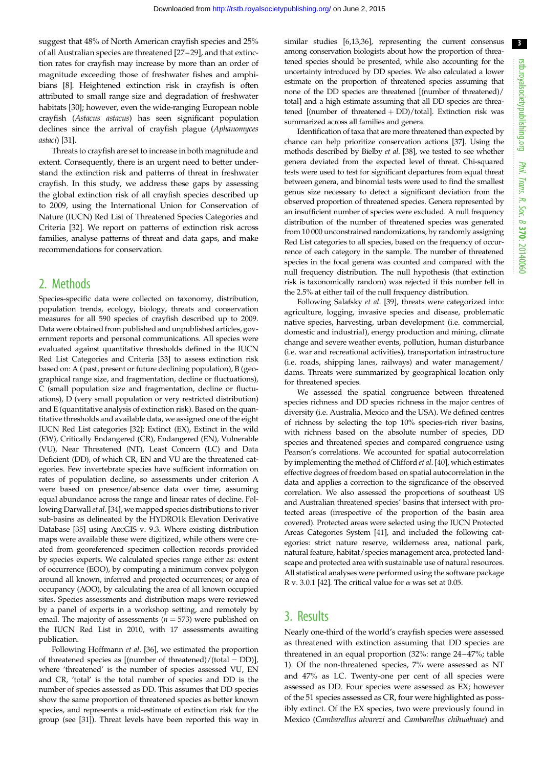suggest that 48% of North American crayfish species and 25% of all Australian species are threatened [[27](#page-8-0)–[29\]](#page-8-0), and that extinction rates for crayfish may increase by more than an order of magnitude exceeding those of freshwater fishes and amphibians [[8](#page-8-0)]. Heightened extinction risk in crayfish is often attributed to small range size and degradation of freshwater habitats [\[30\]](#page-8-0); however, even the wide-ranging European noble crayfish (Astacus astacus) has seen significant population declines since the arrival of crayfish plague (Aphanomyces astaci) [\[31\]](#page-8-0).

Threats to crayfish are set to increase in both magnitude and extent. Consequently, there is an urgent need to better understand the extinction risk and patterns of threat in freshwater crayfish. In this study, we address these gaps by assessing the global extinction risk of all crayfish species described up to 2009, using the International Union for Conservation of Nature (IUCN) Red List of Threatened Species Categories and Criteria [\[32](#page-8-0)]. We report on patterns of extinction risk across families, analyse patterns of threat and data gaps, and make recommendations for conservation.

## 2. Methods

Species-specific data were collected on taxonomy, distribution, population trends, ecology, biology, threats and conservation measures for all 590 species of crayfish described up to 2009. Data were obtained from published and unpublished articles, government reports and personal communications. All species were evaluated against quantitative thresholds defined in the IUCN Red List Categories and Criteria [[33](#page-9-0)] to assess extinction risk based on: A (past, present or future declining population), B (geographical range size, and fragmentation, decline or fluctuations), C (small population size and fragmentation, decline or fluctuations), D (very small population or very restricted distribution) and E (quantitative analysis of extinction risk). Based on the quantitative thresholds and available data, we assigned one of the eight IUCN Red List categories [\[32\]](#page-9-0): Extinct (EX), Extinct in the wild (EW), Critically Endangered (CR), Endangered (EN), Vulnerable (VU), Near Threatened (NT), Least Concern (LC) and Data Deficient (DD), of which CR, EN and VU are the threatened categories. Few invertebrate species have sufficient information on rates of population decline, so assessments under criterion A were based on presence/absence data over time, assuming equal abundance across the range and linear rates of decline. Fol-lowing Darwall et al. [\[34\]](#page-9-0), we mapped species distributions to river sub-basins as delineated by the HYDRO1k Elevation Derivative Database [[35](#page-9-0)] using ARCGIS v. 9.3. Where existing distribution maps were available these were digitized, while others were created from georeferenced specimen collection records provided by species experts. We calculated species range either as: extent of occurrence (EOO), by computing a minimum convex polygon around all known, inferred and projected occurrences; or area of occupancy (AOO), by calculating the area of all known occupied sites. Species assessments and distribution maps were reviewed by a panel of experts in a workshop setting, and remotely by email. The majority of assessments ( $n = 573$ ) were published on the IUCN Red List in 2010, with 17 assessments awaiting publication.

Following Hoffmann et al. [\[36\]](#page-9-0), we estimated the proportion of threatened species as  $[(number of the three)]/(total - DD)$ ], where 'threatened' is the number of species assessed VU, EN and CR, 'total' is the total number of species and DD is the number of species assessed as DD. This assumes that DD species show the same proportion of threatened species as better known species, and represents a mid-estimate of extinction risk for the group (see [\[31\]](#page-8-0)). Threat levels have been reported this way in

similar studies [[6,13,](#page-8-0)[36](#page-9-0)], representing the current consensus among conservation biologists about how the proportion of threatened species should be presented, while also accounting for the uncertainty introduced by DD species. We also calculated a lower estimate on the proportion of threatened species assuming that none of the DD species are threatened [(number of threatened)/ total] and a high estimate assuming that all DD species are threatened [(number of threatened  $+$  DD)/total]. Extinction risk was summarized across all families and genera.

Identification of taxa that are more threatened than expected by chance can help prioritize conservation actions [\[37\]](#page-9-0). Using the methods described by Bielby et al. [\[38\]](#page-9-0), we tested to see whether genera deviated from the expected level of threat. Chi-squared tests were used to test for significant departures from equal threat between genera, and binomial tests were used to find the smallest genus size necessary to detect a significant deviation from the observed proportion of threatened species. Genera represented by an insufficient number of species were excluded. A null frequency distribution of the number of threatened species was generated from 10 000 unconstrained randomizations, by randomly assigning Red List categories to all species, based on the frequency of occurrence of each category in the sample. The number of threatened species in the focal genera was counted and compared with the null frequency distribution. The null hypothesis (that extinction risk is taxonomically random) was rejected if this number fell in the 2.5% at either tail of the null frequency distribution.

Following Salafsky et al. [[39](#page-9-0)], threats were categorized into: agriculture, logging, invasive species and disease, problematic native species, harvesting, urban development (i.e. commercial, domestic and industrial), energy production and mining, climate change and severe weather events, pollution, human disturbance (i.e. war and recreational activities), transportation infrastructure (i.e. roads, shipping lanes, railways) and water management/ dams. Threats were summarized by geographical location only for threatened species.

We assessed the spatial congruence between threatened species richness and DD species richness in the major centres of diversity (i.e. Australia, Mexico and the USA). We defined centres of richness by selecting the top 10% species-rich river basins, with richness based on the absolute number of species, DD species and threatened species and compared congruence using Pearson's correlations. We accounted for spatial autocorrelation by implementing the method of Clifford et al. [[40](#page-9-0)], which estimates effective degrees of freedom based on spatial autocorrelation in the data and applies a correction to the significance of the observed correlation. We also assessed the proportions of southeast US and Australian threatened species' basins that intersect with protected areas (irrespective of the proportion of the basin area covered). Protected areas were selected using the IUCN Protected Areas Categories System [\[41](#page-9-0)], and included the following categories: strict nature reserve, wilderness area, national park, natural feature, habitat/species management area, protected landscape and protected area with sustainable use of natural resources. All statistical analyses were performed using the software package R v. 3.0.1 [[42](#page-9-0)]. The critical value for  $\alpha$  was set at 0.05.

# 3. Results

Nearly one-third of the world's crayfish species were assessed as threatened with extinction assuming that DD species are threatened in an equal proportion (32%: range 24–47%; [table](#page-3-0) [1](#page-3-0)). Of the non-threatened species, 7% were assessed as NT and 47% as LC. Twenty-one per cent of all species were assessed as DD. Four species were assessed as EX; however of the 51 species assessed as CR, four were highlighted as possibly extinct. Of the EX species, two were previously found in Mexico (Cambarellus alvarezi and Cambarellus chihuahuae) and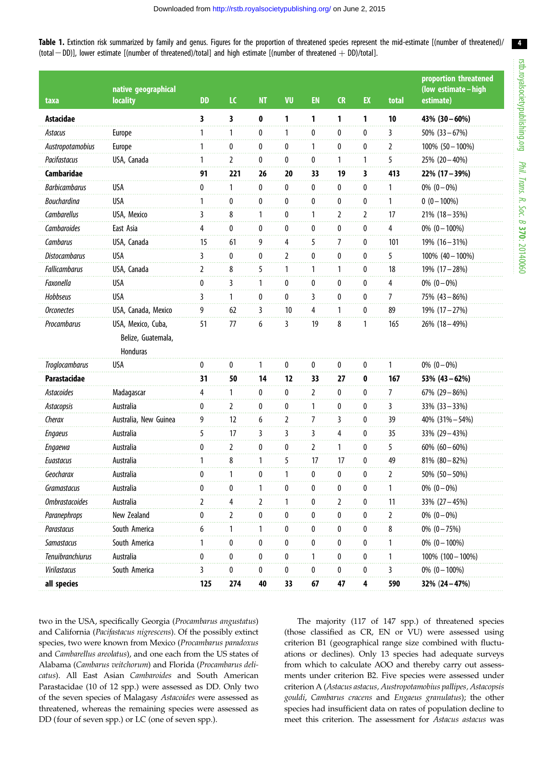<span id="page-3-0"></span>Table 1. Extinction risk summarized by family and genus. Figures for the proportion of threatened species represent the mid-estimate [(number of threatened)/  $(total - DD)$ ], lower estimate [(number of threatened)/total] and high estimate [(number of threatened  $+$  DD)/total].

| taxa                    | native geographical<br><b>locality</b>               | <b>DD</b> | $1$            | <b>NT</b> | <b>VU</b>                            | EN             | <b>CR</b>      | EX             | total | proportion threatened<br>(low estimate-high<br>estimate) |
|-------------------------|------------------------------------------------------|-----------|----------------|-----------|--------------------------------------|----------------|----------------|----------------|-------|----------------------------------------------------------|
| <b>Astacidae</b>        |                                                      | 3         | 3              | 0         | 1                                    | 1              | 1              | 1              | 10    | $43\%$ (30 - 60%)                                        |
| Astacus                 | <b>Europe</b>                                        |           | 1              | 0         | 1                                    | 0              | 0              | 0              | 3     | $50\%$ (33 - 67%)                                        |
| Austropotamobius        | Europe                                               |           | 0              | 0         | 0                                    | 1              | 0              | 0              | 2     | 100% (50 - 100%)                                         |
| Pacifastacus            | USA, Canada                                          | 1         | $\overline{2}$ | 0         | V.<br>0                              | 0              | 1              | 1              | 5     | $25\%$ (20 - 40%)                                        |
| <b>Cambaridae</b>       |                                                      | 91        | 221            | 26        | 20                                   | 33             | 19             | 3              | 413   | $22\%$ (17 – 39%)                                        |
| <b>Barbicambarus</b>    | USA                                                  | 0         | 1              | 0         | 0                                    | 0              | $\mathbf{0}$   | $\mathbf{0}$   |       | $0\%$ $(0-0\%)$                                          |
| <b>Bouchardina</b>      | <b>USA</b>                                           | 1         | 0              | 0         | 0                                    | 0              | 0              | 0              |       | $0(0-100\%)$                                             |
| Cambarellus             | USA, Mexico                                          | 3         | 8              | 1         | 0                                    | 1              | $\overline{2}$ | $\overline{2}$ | 17    | $21\%$ (18 - 35%)                                        |
| Cambaroides             | East Asia                                            | 4         | 0              | 0         | 0                                    | 0              | 0              | $\mathbf{0}$   | 4     | $0\%$ $(0-100\%)$                                        |
| Cambarus                | USA, Canada                                          | 15        | 61             | 9         | .<br>4<br>$\mathcal{L}(\mathcal{L})$ | a a<br>5       | $\overline{7}$ | $\mathbf{0}$   | 101   | $19\%$ (16 - 31%)                                        |
| <b>Distocambarus</b>    | <b>USA</b>                                           | 3         | 0              | 0         | $\overline{2}$<br>v.                 | 0              | 0              | 0              | 5     | 100% (40 - 100%)                                         |
| <b>Fallicambarus</b>    | USA, Canada                                          | 2         | 8              | 5         | 1                                    | $\mathbf{1}$   | 1              | 0              | 18    | $19\%$ (17 - 28%)                                        |
| Faxonella               | <b>USA</b>                                           | 0         | 3              | 1         | 0<br>a.                              | 0<br>a.        | 0              | 0              | 4     | $0\%$ $(0-0\%)$                                          |
| Hobbseus                | <b>USA</b>                                           | 3         | 1              | 0         | 0                                    | 3              | $\bf{0}$       | 0              | 7     | $75\%$ (43 - 86%)                                        |
| <b>Orconectes</b>       | USA, Canada, Mexico                                  | 9         | 62             | 3         | 10                                   | 4              | 1              | 0              | 89    | $19\%$ (17 - 27%)                                        |
| Procambarus             | USA, Mexico, Cuba,<br>Belize, Guatemala,<br>Honduras | 51        | 77             | 6         | 3                                    | 19             | 8              | 1              | 165   | 26% (18 - 49%)                                           |
| <b>Troglocambarus</b>   | <b>USA</b>                                           | 0         | 0              | 1         | 0                                    | 0              | 0              | 0              |       | $0\%$ $(0-0\%)$                                          |
| Parastacidae            |                                                      | 31        | 50             | 14        | 12                                   | 33             | 27             | 0              | 167   | $53\%$ (43 - 62%)                                        |
| Astacoides              | Madagascar                                           | 4         | 1              | 0         | 0                                    | 2              | 0              | 0              | 7     | $67\%$ (29 - 86%)                                        |
| Astacopsis              | Australia                                            | 0         | $\overline{2}$ | 0         | 0                                    | $\mathbf{1}$   | $\pmb{0}$      | 0              | 3     | $33\%$ (33 - 33%)                                        |
| Cherax                  | Australia, New Guinea                                | 9         | 12<br>in a     | 6         | $\overline{2}$<br>$\bar{\psi}$       | 7              | 3              | 0              | 39    | 40% (31% - 54%)                                          |
| <b>Engaeus</b>          | Australia                                            | 5         | 17             | 3         | 3                                    | 3              | 4              | 0              | 35    | $33\%$ (29 - 43%)                                        |
| <b>Engaewa</b>          | Australia                                            | 0         | 2              | 0         | 0                                    | $\overline{2}$ | 1              | 0              | 5     | $60\%$ $(60-60\%)$                                       |
| <b>Euastacus</b>        | Australia                                            |           | 8              | 1         | 5                                    | 17             | 17             | 0              | 49    | $81\%$ $(80-82\%)$                                       |
| Geocharax               | Australia                                            | 0         |                | 0         | 1                                    | 0              | 0              | $\mathbf{0}$   | 2     | $50\%$ (50 - 50%)                                        |
| Gramastacus             | Australia                                            | 0         |                |           | 0                                    | 0              | 0              |                |       | $0\%$ $(0-0\%)$                                          |
| <b>Ombrastacoides</b>   | Australia                                            | 2         | 4              | 2         | 1                                    | 0              | 2              | 0              | 11    | 33% $(27 - 45%)$                                         |
| Paranephrops            | New Zealand                                          | 0         | 2              | 0         | 0                                    | 0              | 0              | 0              | 2     | $0\%$ $(0-0\%)$                                          |
| Parastacus              | South America                                        | 6         |                |           | 0                                    | 0              | 0              | 0              |       | $0\%$ $(0-75\%)$                                         |
| <b>Samastacus</b>       | South America                                        |           | 0              | 0         | 0                                    | 0              | 0              | 0              |       | $0\%$ (0 - 100%)                                         |
| <b>Tenuibranchiurus</b> | Australia                                            | 0         | 0              | 0         | 0                                    | 1              | 0              | 0              |       | 100% (100 - 100%)                                        |
| Virilastacus            | South America                                        | 3         | 0              | 0         | 0                                    | 0              | 0              | 0              | 3     | $0\%$ (0 - 100%)                                         |
| all species             |                                                      | 125       | 274            | 40        | 33                                   | 67             | 47             | 4              | 590   | $32\% (24 - 47\%)$                                       |

two in the USA, specifically Georgia (Procambarus angustatus) and California (Pacifastacus nigrescens). Of the possibly extinct species, two were known from Mexico (Procambarus paradoxus and Cambarellus areolatus), and one each from the US states of Alabama (Cambarus veitchorum) and Florida (Procambarus delicatus). All East Asian Cambaroides and South American Parastacidae (10 of 12 spp.) were assessed as DD. Only two of the seven species of Malagasy Astacoides were assessed as threatened, whereas the remaining species were assessed as DD (four of seven spp.) or LC (one of seven spp.).

The majority (117 of 147 spp.) of threatened species (those classified as CR, EN or VU) were assessed using criterion B1 (geographical range size combined with fluctuations or declines). Only 13 species had adequate surveys from which to calculate AOO and thereby carry out assessments under criterion B2. Five species were assessed under criterion A (Astacus astacus, Austropotamobius pallipes, Astacopsis gouldi, Cambarus cracens and Engaeus granulatus); the other species had insufficient data on rates of population decline to meet this criterion. The assessment for Astacus astacus was

4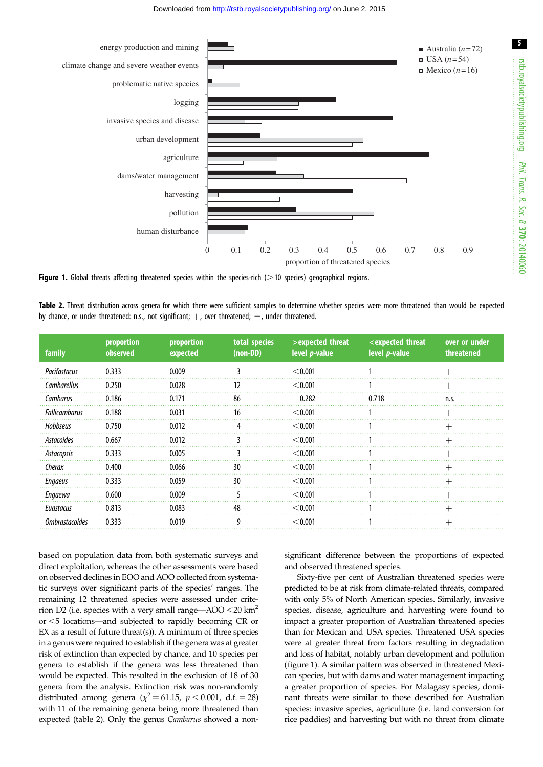

Figure 1. Global threats affecting threatened species within the species-rich ( $>$ 10 species) geographical regions.

Table 2. Threat distribution across genera for which there were sufficient samples to determine whether species were more threatened than would be expected by chance, or under threatened: n.s., not significant;  $+$ , over threatened;  $-$ , under threatened.

| family                | proportion<br>observed | proportion<br>expected | total species<br>(non-DD) | >expected threat<br>level <i>p</i> -value | <expected threat<br="">level <i>p</i>-value</expected> | over or under<br>threatened |
|-----------------------|------------------------|------------------------|---------------------------|-------------------------------------------|--------------------------------------------------------|-----------------------------|
| Pacifastacus          | 0.333                  | 0.009                  |                           | < 0.001                                   |                                                        |                             |
| Cambarellus           | 0.250                  | 0.028                  |                           | < 0.001                                   |                                                        |                             |
| Cambarus              | 0.186                  | 0.171                  | 86                        | 0.282                                     | 0.718                                                  | n.s.                        |
| <b>Fallicambarus</b>  | 0.188                  | 0.031                  | 16                        | < 0.001                                   |                                                        | $\pm$                       |
| Hobbseus              | 0.750                  | 0.012                  |                           | < 0.001                                   |                                                        |                             |
| Astacoides            | 0.667                  | 0.012                  |                           | < 0.001                                   |                                                        |                             |
| Astacopsis            | 0.333                  | 0.005                  |                           | < 0.001                                   |                                                        |                             |
| Cherax                | 0.400                  | 0.066                  | 30                        | < 0.001                                   |                                                        |                             |
| Engaeus               | 0.333                  | 0.059                  | 30                        | < 0.001                                   |                                                        |                             |
| Engaewa               | 0.600                  | 0.009                  |                           | < 0.001                                   |                                                        |                             |
| Euastacus             | 0.813                  | 0.083                  | 48                        | < 0.001                                   |                                                        |                             |
| <i>Ombrastacoides</i> | 0.333                  | 0.019                  | 9                         | < 0.001                                   |                                                        |                             |

based on population data from both systematic surveys and direct exploitation, whereas the other assessments were based on observed declines in EOO and AOO collected from systematic surveys over significant parts of the species' ranges. The remaining 12 threatened species were assessed under criterion D2 (i.e. species with a very small range—AOO  $<$  20 km<sup>2</sup> or ,5 locations—and subjected to rapidly becoming CR or  $EX$  as a result of future threat(s)). A minimum of three species in a genus were required to establish if the genera was at greater risk of extinction than expected by chance, and 10 species per genera to establish if the genera was less threatened than would be expected. This resulted in the exclusion of 18 of 30 genera from the analysis. Extinction risk was non-randomly distributed among genera ( $\chi^2$  = 61.15, p < 0.001, d.f. = 28) with 11 of the remaining genera being more threatened than expected (table 2). Only the genus Cambarus showed a nonsignificant difference between the proportions of expected and observed threatened species.

Sixty-five per cent of Australian threatened species were predicted to be at risk from climate-related threats, compared with only 5% of North American species. Similarly, invasive species, disease, agriculture and harvesting were found to impact a greater proportion of Australian threatened species than for Mexican and USA species. Threatened USA species were at greater threat from factors resulting in degradation and loss of habitat, notably urban development and pollution (figure 1). A similar pattern was observed in threatened Mexican species, but with dams and water management impacting a greater proportion of species. For Malagasy species, dominant threats were similar to those described for Australian species: invasive species, agriculture (i.e. land conversion for rice paddies) and harvesting but with no threat from climate 5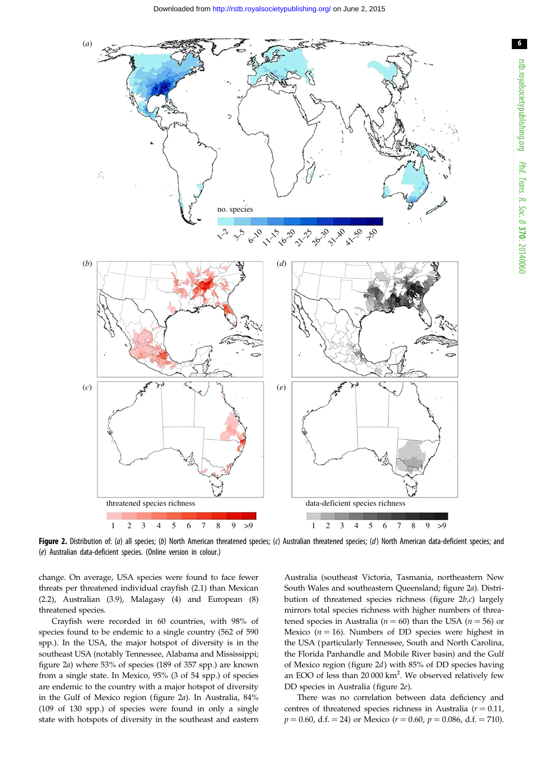

Figure 2. Distribution of: (a) all species; (b) North American threatened species; (c) Australian threatened species; (d) North American data-deficient species; and (e) Australian data-deficient species. (Online version in colour.)

change. On average, USA species were found to face fewer threats per threatened individual crayfish (2.1) than Mexican (2.2), Australian (3.9), Malagasy (4) and European (8) threatened species.

Crayfish were recorded in 60 countries, with 98% of species found to be endemic to a single country (562 of 590 spp.). In the USA, the major hotspot of diversity is in the southeast USA (notably Tennessee, Alabama and Mississippi; figure 2a) where 53% of species (189 of 357 spp.) are known from a single state. In Mexico, 95% (3 of 54 spp.) of species are endemic to the country with a major hotspot of diversity in the Gulf of Mexico region (figure 2a). In Australia, 84% (109 of 130 spp.) of species were found in only a single state with hotspots of diversity in the southeast and eastern

Australia (southeast Victoria, Tasmania, northeastern New South Wales and southeastern Queensland; figure 2a). Distribution of threatened species richness (figure  $2b$ , $c$ ) largely mirrors total species richness with higher numbers of threatened species in Australia ( $n = 60$ ) than the USA ( $n = 56$ ) or Mexico ( $n = 16$ ). Numbers of DD species were highest in the USA (particularly Tennessee, South and North Carolina, the Florida Panhandle and Mobile River basin) and the Gulf of Mexico region (figure 2d) with 85% of DD species having an EOO of less than  $20000 \text{ km}^2$ . We observed relatively few DD species in Australia (figure 2e).

There was no correlation between data deficiency and centres of threatened species richness in Australia ( $r = 0.11$ ,  $p = 0.60$ , d.f. = 24) or Mexico ( $r = 0.60$ ,  $p = 0.086$ , d.f. = 710). 6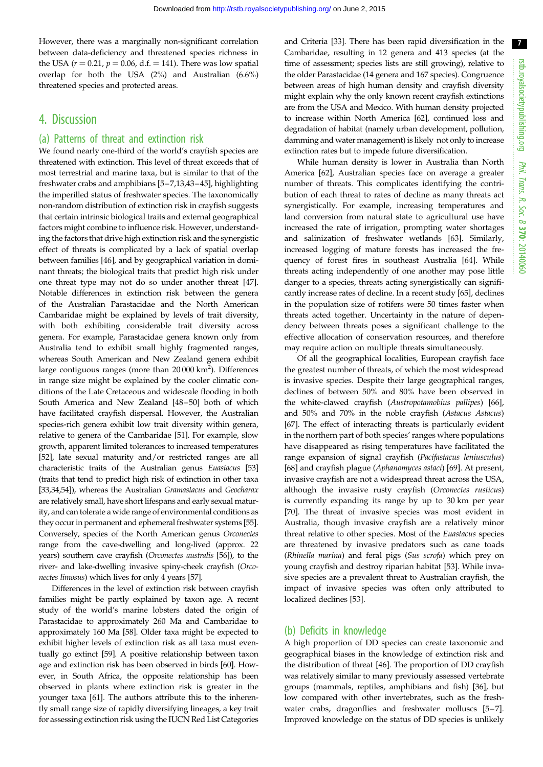However, there was a marginally non-significant correlation between data-deficiency and threatened species richness in the USA ( $r = 0.21$ ,  $p = 0.06$ , d.f. = 141). There was low spatial overlap for both the USA (2%) and Australian (6.6%) threatened species and protected areas.

# 4. Discussion

## (a) Patterns of threat and extinction risk

We found nearly one-third of the world's crayfish species are threatened with extinction. This level of threat exceeds that of most terrestrial and marine taxa, but is similar to that of the freshwater crabs and amphibians [[5](#page-8-0)–[7,13](#page-8-0)[,43](#page-9-0)–[45](#page-9-0)], highlighting the imperilled status of freshwater species. The taxonomically non-random distribution of extinction risk in crayfish suggests that certain intrinsic biological traits and external geographical factors might combine to influence risk. However, understanding the factors that drive high extinction risk and the synergistic effect of threats is complicated by a lack of spatial overlap between families [\[46](#page-9-0)], and by geographical variation in dominant threats; the biological traits that predict high risk under one threat type may not do so under another threat [\[47](#page-9-0)]. Notable differences in extinction risk between the genera of the Australian Parastacidae and the North American Cambaridae might be explained by levels of trait diversity, with both exhibiting considerable trait diversity across genera. For example, Parastacidae genera known only from Australia tend to exhibit small highly fragmented ranges, whereas South American and New Zealand genera exhibit large contiguous ranges (more than  $20\,000\,\mathrm{km}^2$ ). Differences in range size might be explained by the cooler climatic conditions of the Late Cretaceous and widescale flooding in both South America and New Zealand [\[48](#page-9-0)–[50](#page-9-0)] both of which have facilitated crayfish dispersal. However, the Australian species-rich genera exhibit low trait diversity within genera, relative to genera of the Cambaridae [\[51](#page-9-0)]. For example, slow growth, apparent limited tolerances to increased temperatures [\[52](#page-9-0)], late sexual maturity and/or restricted ranges are all characteristic traits of the Australian genus Euastacus [[53\]](#page-9-0) (traits that tend to predict high risk of extinction in other taxa [\[33,34,54\]](#page-9-0)), whereas the Australian Gramastacus and Geocharax are relatively small, have short lifespans and early sexual maturity, and can tolerate a wide range of environmental conditions as they occur in permanent and ephemeral freshwater systems [[55](#page-9-0)]. Conversely, species of the North American genus Orconectes range from the cave-dwelling and long-lived (approx. 22 years) southern cave crayfish (Orconectes australis [\[56](#page-9-0)]), to the river- and lake-dwelling invasive spiny-cheek crayfish (Orconectes limosus) which lives for only 4 years [[57\]](#page-9-0).

Differences in the level of extinction risk between crayfish families might be partly explained by taxon age. A recent study of the world's marine lobsters dated the origin of Parastacidae to approximately 260 Ma and Cambaridae to approximately 160 Ma [\[58](#page-9-0)]. Older taxa might be expected to exhibit higher levels of extinction risk as all taxa must eventually go extinct [\[59](#page-9-0)]. A positive relationship between taxon age and extinction risk has been observed in birds [[60](#page-9-0)]. However, in South Africa, the opposite relationship has been observed in plants where extinction risk is greater in the younger taxa [\[61\]](#page-9-0). The authors attribute this to the inherently small range size of rapidly diversifying lineages, a key trait for assessing extinction risk using the IUCN Red List Categories

and Criteria [[33\]](#page-9-0). There has been rapid diversification in the Cambaridae, resulting in 12 genera and 413 species (at the time of assessment; species lists are still growing), relative to the older Parastacidae (14 genera and 167 species). Congruence between areas of high human density and crayfish diversity might explain why the only known recent crayfish extinctions are from the USA and Mexico. With human density projected to increase within North America [\[62\]](#page-9-0), continued loss and degradation of habitat (namely urban development, pollution, damming and water management) is likely not only to increase extinction rates but to impede future diversification.

While human density is lower in Australia than North America [\[62](#page-9-0)], Australian species face on average a greater number of threats. This complicates identifying the contribution of each threat to rates of decline as many threats act synergistically. For example, increasing temperatures and land conversion from natural state to agricultural use have increased the rate of irrigation, prompting water shortages and salinization of freshwater wetlands [\[63](#page-9-0)]. Similarly, increased logging of mature forests has increased the frequency of forest fires in southeast Australia [[64\]](#page-9-0). While threats acting independently of one another may pose little danger to a species, threats acting synergistically can significantly increase rates of decline. In a recent study [[65\]](#page-9-0), declines in the population size of rotifers were 50 times faster when threats acted together. Uncertainty in the nature of dependency between threats poses a significant challenge to the effective allocation of conservation resources, and therefore may require action on multiple threats simultaneously.

Of all the geographical localities, European crayfish face the greatest number of threats, of which the most widespread is invasive species. Despite their large geographical ranges, declines of between 50% and 80% have been observed in the white-clawed crayfish (Austropotamobius pallipes) [[66\]](#page-9-0), and 50% and 70% in the noble crayfish (Astacus Astacus) [[67\]](#page-9-0). The effect of interacting threats is particularly evident in the northern part of both species' ranges where populations have disappeared as rising temperatures have facilitated the range expansion of signal crayfish (Pacifastacus leniusculus) [[68\]](#page-9-0) and crayfish plague (Aphanomyces astaci) [[69\]](#page-9-0). At present, invasive crayfish are not a widespread threat across the USA, although the invasive rusty crayfish (Orconectes rusticus) is currently expanding its range by up to 30 km per year [[70\]](#page-9-0). The threat of invasive species was most evident in Australia, though invasive crayfish are a relatively minor threat relative to other species. Most of the Euastacus species are threatened by invasive predators such as cane toads (Rhinella marina) and feral pigs (Sus scrofa) which prey on young crayfish and destroy riparian habitat [[53\]](#page-9-0). While invasive species are a prevalent threat to Australian crayfish, the impact of invasive species was often only attributed to localized declines [[53\]](#page-9-0).

## (b) Deficits in knowledge

A high proportion of DD species can create taxonomic and geographical biases in the knowledge of extinction risk and the distribution of threat [\[46](#page-9-0)]. The proportion of DD crayfish was relatively similar to many previously assessed vertebrate groups (mammals, reptiles, amphibians and fish) [\[36](#page-9-0)], but low compared with other invertebrates, such as the fresh-water crabs, dragonflies and freshwater molluscs [\[5](#page-8-0)-7]. Improved knowledge on the status of DD species is unlikely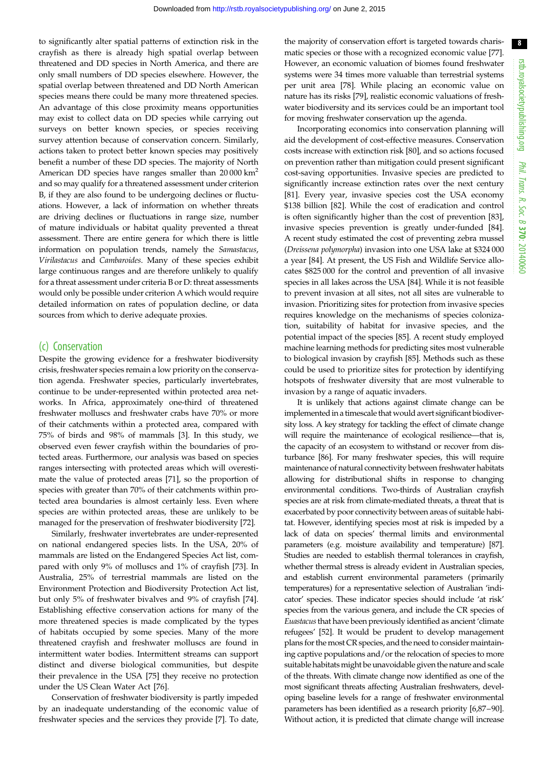to significantly alter spatial patterns of extinction risk in the crayfish as there is already high spatial overlap between threatened and DD species in North America, and there are only small numbers of DD species elsewhere. However, the spatial overlap between threatened and DD North American species means there could be many more threatened species. An advantage of this close proximity means opportunities may exist to collect data on DD species while carrying out surveys on better known species, or species receiving survey attention because of conservation concern. Similarly, actions taken to protect better known species may positively benefit a number of these DD species. The majority of North American DD species have ranges smaller than 20 000 km2 and so may qualify for a threatened assessment under criterion B, if they are also found to be undergoing declines or fluctuations. However, a lack of information on whether threats are driving declines or fluctuations in range size, number of mature individuals or habitat quality prevented a threat assessment. There are entire genera for which there is little information on population trends, namely the Samastacus, Virilastacus and Cambaroides. Many of these species exhibit large continuous ranges and are therefore unlikely to qualify for a threat assessment under criteria B or D: threat assessments would only be possible under criterion A which would require detailed information on rates of population decline, or data sources from which to derive adequate proxies.

### (c) Conservation

Despite the growing evidence for a freshwater biodiversity crisis, freshwater species remain a low priority on the conservation agenda. Freshwater species, particularly invertebrates, continue to be under-represented within protected area networks. In Africa, approximately one-third of threatened freshwater molluscs and freshwater crabs have 70% or more of their catchments within a protected area, compared with 75% of birds and 98% of mammals [[3](#page-8-0)]. In this study, we observed even fewer crayfish within the boundaries of protected areas. Furthermore, our analysis was based on species ranges intersecting with protected areas which will overestimate the value of protected areas [\[71](#page-9-0)], so the proportion of species with greater than 70% of their catchments within protected area boundaries is almost certainly less. Even where species are within protected areas, these are unlikely to be managed for the preservation of freshwater biodiversity [\[72](#page-9-0)].

Similarly, freshwater invertebrates are under-represented on national endangered species lists. In the USA, 20% of mammals are listed on the Endangered Species Act list, compared with only 9% of molluscs and 1% of crayfish [[73\]](#page-9-0). In Australia, 25% of terrestrial mammals are listed on the Environment Protection and Biodiversity Protection Act list, but only 5% of freshwater bivalves and 9% of crayfish [\[74](#page-9-0)]. Establishing effective conservation actions for many of the more threatened species is made complicated by the types of habitats occupied by some species. Many of the more threatened crayfish and freshwater molluscs are found in intermittent water bodies. Intermittent streams can support distinct and diverse biological communities, but despite their prevalence in the USA [[75\]](#page-9-0) they receive no protection under the US Clean Water Act [\[76](#page-10-0)].

Conservation of freshwater biodiversity is partly impeded by an inadequate understanding of the economic value of freshwater species and the services they provide [\[7](#page-8-0)]. To date,

the majority of conservation effort is targeted towards charismatic species or those with a recognized economic value [[77\]](#page-10-0). However, an economic valuation of biomes found freshwater systems were 34 times more valuable than terrestrial systems per unit area [\[78](#page-10-0)]. While placing an economic value on nature has its risks [[79\]](#page-10-0), realistic economic valuations of freshwater biodiversity and its services could be an important tool for moving freshwater conservation up the agenda.

Incorporating economics into conservation planning will aid the development of cost-effective measures. Conservation costs increase with extinction risk [[80\]](#page-10-0), and so actions focused on prevention rather than mitigation could present significant cost-saving opportunities. Invasive species are predicted to significantly increase extinction rates over the next century [[81\]](#page-10-0). Every year, invasive species cost the USA economy \$138 billion [[82\]](#page-10-0). While the cost of eradication and control is often significantly higher than the cost of prevention [[83\]](#page-10-0), invasive species prevention is greatly under-funded [[84\]](#page-10-0). A recent study estimated the cost of preventing zebra mussel (Dreissena polymorpha) invasion into one USA lake at \$324 000 a year [\[84](#page-10-0)]. At present, the US Fish and Wildlife Service allocates \$825 000 for the control and prevention of all invasive species in all lakes across the USA [[84\]](#page-10-0). While it is not feasible to prevent invasion at all sites, not all sites are vulnerable to invasion. Prioritizing sites for protection from invasive species requires knowledge on the mechanisms of species colonization, suitability of habitat for invasive species, and the potential impact of the species [[85\]](#page-10-0). A recent study employed machine learning methods for predicting sites most vulnerable to biological invasion by crayfish [\[85](#page-10-0)]. Methods such as these could be used to prioritize sites for protection by identifying hotspots of freshwater diversity that are most vulnerable to invasion by a range of aquatic invaders.

It is unlikely that actions against climate change can be implemented in a timescale that would avert significant biodiversity loss. A key strategy for tackling the effect of climate change will require the maintenance of ecological resilience—that is, the capacity of an ecosystem to withstand or recover from disturbance [\[86\]](#page-10-0). For many freshwater species, this will require maintenance of natural connectivity between freshwater habitats allowing for distributional shifts in response to changing environmental conditions. Two-thirds of Australian crayfish species are at risk from climate-mediated threats, a threat that is exacerbated by poor connectivity between areas of suitable habitat. However, identifying species most at risk is impeded by a lack of data on species' thermal limits and environmental parameters (e.g. moisture availability and temperature) [\[87\]](#page-10-0). Studies are needed to establish thermal tolerances in crayfish, whether thermal stress is already evident in Australian species, and establish current environmental parameters (primarily temperatures) for a representative selection of Australian 'indicator' species. These indicator species should include 'at risk' species from the various genera, and include the CR species of Euastacus that have been previously identified as ancient 'climate refugees' [[52](#page-9-0)]. It would be prudent to develop management plans for the most CR species, and the need to consider maintaining captive populations and/or the relocation of species to more suitable habitats might be unavoidable given the nature and scale of the threats. With climate change now identified as one of the most significant threats affecting Australian freshwaters, developing baseline levels for a range of freshwater environmental parameters has been identified as a research priority [[6](#page-8-0)[,87](#page-10-0)–[90\]](#page-10-0). Without action, it is predicted that climate change will increase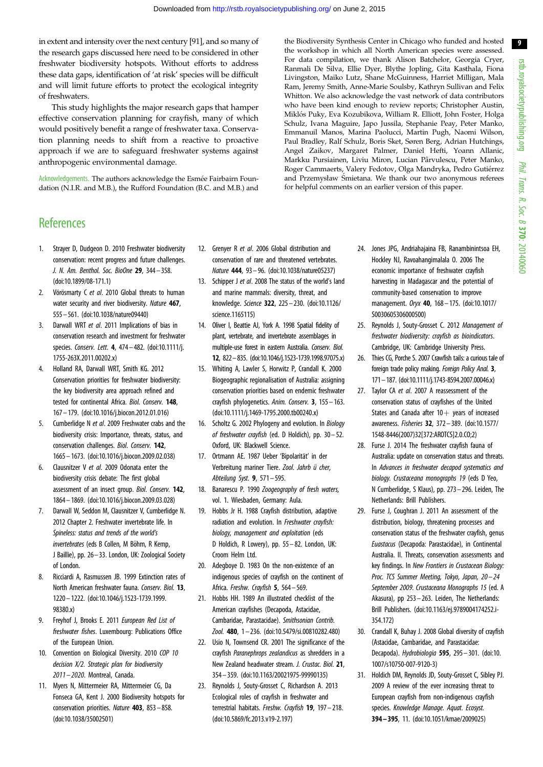<span id="page-8-0"></span>in extent and intensity over the next century [\[91](#page-10-0)], and so many of the research gaps discussed here need to be considered in other freshwater biodiversity hotspots. Without efforts to address these data gaps, identification of 'at risk' species will be difficult and will limit future efforts to protect the ecological integrity of freshwaters.

This study highlights the major research gaps that hamper effective conservation planning for crayfish, many of which would positively benefit a range of freshwater taxa. Conservation planning needs to shift from a reactive to proactive approach if we are to safeguard freshwater systems against anthropogenic environmental damage.

Acknowledgements. The authors acknowledge the Esmée Fairbairn Foundation (N.I.R. and M.B.), the Rufford Foundation (B.C. and M.B.) and the Biodiversity Synthesis Center in Chicago who funded and hosted the workshop in which all North American species were assessed. For data compilation, we thank Alison Batchelor, Georgia Cryer, Ranmali De Silva, Ellie Dyer, Blythe Jopling, Gita Kasthala, Fiona Livingston, Maiko Lutz, Shane McGuinness, Harriet Milligan, Mala Ram, Jeremy Smith, Anne-Marie Soulsby, Kathryn Sullivan and Felix Whitton. We also acknowledge the vast network of data contributors who have been kind enough to review reports; Christopher Austin, Miklós Puky, Eva Kozubikova, William R. Elliott, John Foster, Holga Schulz, Ivana Maguire, Japo Jussila, Stephanie Peay, Peter Manko, Emmanuil Manos, Marina Paolucci, Martin Pugh, Naomi Wilson, Paul Bradley, Ralf Schulz, Boris Sket, Søren Berg, Adrian Hutchings, Angel Zaikov, Margaret Palmer, Daniel Hefti, Yoann Allanic, Markku Pursiainen, Liviu Miron, Lucian Pârvulescu, Peter Manko, Roger Cammaerts, Valery Fedotov, Olga Mandryka, Pedro Gutiérrez and Przemysław Śmietana. We thank our two anonymous referees for helpful comments on an earlier version of this paper.

# **References**

- 1. Strayer D, Dudgeon D. 2010 Freshwater biodiversity conservation: recent progress and future challenges. J. N. Am. Benthol. Soc. BioOne 29, 344– 358. [\(doi:10.1899/08-171.1](http://dx.doi.org/10.1899/08-171.1))
- 2. Vörösmarty C et al. 2010 Global threats to human water security and river biodiversity. Nature 467, 555– 561. ([doi:10.1038/nature09440](http://dx.doi.org/10.1038/nature09440))
- 3. Darwall WRT et al. 2011 Implications of bias in conservation research and investment for freshwater species. Conserv. Lett. 4, 474– 482. ([doi:10.1111/j.](http://dx.doi.org/10.1111/j.1755-263X.2011.00202.x) [1755-263X.2011.00202.x](http://dx.doi.org/10.1111/j.1755-263X.2011.00202.x))
- 4. Holland RA, Darwall WRT, Smith KG. 2012 Conservation priorities for freshwater biodiversity: the key biodiversity area approach refined and tested for continental Africa. Biol. Conserv. 148, 167– 179. ([doi:10.1016/j.biocon.2012.01.016\)](http://dx.doi.org/10.1016/j.biocon.2012.01.016)
- 5. Cumberlidge N et al. 2009 Freshwater crabs and the biodiversity crisis: Importance, threats, status, and conservation challenges. Biol. Conserv. 142, 1665 – 1673. [\(doi:10.1016/j.biocon.2009.02.038\)](http://dx.doi.org/10.1016/j.biocon.2009.02.038)
- 6. Clausnitzer V et al. 2009 Odonata enter the biodiversity crisis debate: The first global assessment of an insect group. Biol. Conserv. 142, 1864 – 1869. [\(doi:10.1016/j.biocon.2009.03.028\)](http://dx.doi.org/10.1016/j.biocon.2009.03.028)
- 7. Darwall W, Seddon M, Clausnitzer V, Cumberlidge N. 2012 Chapter 2. Freshwater invertebrate life. In Spineless: status and trends of the world's invertebrates (eds B Collen, M Böhm, R Kemp, J Baillie), pp. 26–33. London, UK: Zoological Society of London.
- 8. Ricciardi A, Rasmussen JB. 1999 Extinction rates of North American freshwater fauna. Conserv. Biol. 13, 1220 – 1222. [\(doi:10.1046/j.1523-1739.1999.](http://dx.doi.org/10.1046/j.1523-1739.1999.98380.x) [98380.x\)](http://dx.doi.org/10.1046/j.1523-1739.1999.98380.x)
- 9. Freyhof J, Brooks E. 2011 European Red List of freshwater fishes. Luxembourg: Publications Office of the European Union.
- 10. Convention on Biological Diversity. 2010 COP 10 decision X/2. Strategic plan for biodiversity 2011– 2020. Montreal, Canada.
- 11. Myers N, Mittermeier RA, Mittermeier CG, Da Fonseca GA, Kent J. 2000 Biodiversity hotspots for conservation priorities. Nature 403, 853– 858. [\(doi:10.1038/35002501\)](http://dx.doi.org/10.1038/35002501)
- 12. Grenyer R et al. 2006 Global distribution and conservation of rare and threatened vertebrates. Nature 444, 93 – 96. [\(doi:10.1038/nature05237](http://dx.doi.org/10.1038/nature05237))
- 13. Schipper J et al. 2008 The status of the world's land and marine mammals: diversity, threat, and knowledge. Science 322, 225 – 230. [\(doi:10.1126/](http://dx.doi.org/10.1126/science.1165115) [science.1165115\)](http://dx.doi.org/10.1126/science.1165115)
- 14. Oliver I, Beattie AJ, York A. 1998 Spatial fidelity of plant, vertebrate, and invertebrate assemblages in multiple-use forest in eastern Australia. Conserv. Biol. 12, 822–835. [\(doi:10.1046/j.1523-1739.1998.97075.x\)](http://dx.doi.org/10.1046/j.1523-1739.1998.97075.x)
- 15. Whiting A, Lawler S, Horwitz P, Crandall K. 2000 Biogeographic regionalisation of Australia: assigning conservation priorities based on endemic freshwater crayfish phylogenetics. Anim. Conserv. 3, 155– 163. [\(doi:10.1111/j.1469-1795.2000.tb00240.x\)](http://dx.doi.org/10.1111/j.1469-1795.2000.tb00240.x)
- 16. Scholtz G. 2002 Phylogeny and evolution. In Biology of freshwater crayfish (ed. D Holdich), pp. 30 – 52. Oxford, UK: Blackwell Science.
- 17. Ortmann AE. 1987 Ueber 'Bipolarität' in der Verbreitung mariner Tiere. Zool. Jahrb ü cher, Abteilung Syst. 9, 571– 595.
- 18. Banarescu P. 1990 Zoogeography of fresh waters, vol. 1. Wiesbaden, Germany: Aula.
- 19. Hobbs Jr H. 1988 Crayfish distribution, adaptive radiation and evolution. In Freshwater crayfish: biology, management and exploitation (eds D Holdich, R Lowery), pp. 55 – 82. London, UK: Croom Helm Ltd.
- 20. Adegboye D. 1983 On the non-existence of an indigenous species of crayfish on the continent of Africa. Freshw. Crayfish 5, 564– 569.
- 21. Hobbs HH. 1989 An illustrated checklist of the American crayfishes (Decapoda, Astacidae, Cambaridae, Parastacidae). Smithsonian Contrib. Zool. 480, 1 – 236. [\(doi:10.5479/si.00810282.480\)](http://dx.doi.org/10.5479/si.00810282.480)
- 22. Usio N, Townsend CR. 2001 The significance of the crayfish Paranephrops zealandicus as shredders in a New Zealand headwater stream. J. Crustac. Biol. 21, 354 – 359. [\(doi:10.1163/20021975-99990135](http://dx.doi.org/10.1163/20021975-99990135))
- 23. Reynolds J, Souty-Grosset C, Richardson A. 2013 Ecological roles of crayfish in freshwater and terrestrial habitats. Freshw. Crayfish 19, 197– 218. [\(doi:10.5869/fc.2013.v19-2.197\)](http://dx.doi.org/10.5869/fc.2013.v19-2.197)
- 24. Jones JPG, Andriahajaina FB, Ranambinintsoa EH, Hockley NJ, Ravoahangimalala O. 2006 The economic importance of freshwater crayfish harvesting in Madagascar and the potential of community-based conservation to improve management. Oryx 40, 168 – 175. ([doi:10.1017/](http://dx.doi.org/10.1017/S0030605306000500) [S0030605306000500\)](http://dx.doi.org/10.1017/S0030605306000500)
- 25. Reynolds J, Souty-Grosset C. 2012 Management of freshwater biodiversity: crayfish as bioindicators. Cambridge, UK: Cambridge University Press.
- 26. Thies CG, Porche S. 2007 Crawfish tails: a curious tale of foreign trade policy making. Foreign Policy Anal. 3, 171–187. [\(doi:10.1111/j.1743-8594.2007.00046.x](http://dx.doi.org/10.1111/j.1743-8594.2007.00046.x))
- 27. Taylor CA et al. 2007 A reassessment of the conservation status of crayfishes of the United States and Canada after  $10+$  years of increased awareness. Fisheries 32, 372– 389. ([doi:10.1577/](http://dx.doi.org/10.1577/1548-8446(2007)32[372:AROTCS]2.0.CO;2) [1548-8446\(2007\)32\[372:AROTCS\]2.0.CO;2\)](http://dx.doi.org/10.1577/1548-8446(2007)32[372:AROTCS]2.0.CO;2)
- 28. Furse J. 2014 The freshwater crayfish fauna of Australia: update on conservation status and threats. In Advances in freshwater decapod systematics and biology. Crustaceana monographs 19 (eds D Yeo, N Cumberlidge, S Klaus), pp. 273– 296. Leiden, The Netherlands: Brill Publishers.
- 29. Furse J, Coughran J. 2011 An assessment of the distribution, biology, threatening processes and conservation status of the freshwater crayfish, genus Euastacus (Decapoda: Parastacidae), in Continental Australia. II. Threats, conservation assessments and key findings. In New Frontiers in Crustacean Biology: Proc. TCS Summer Meeting, Tokyo, Japan, 20 - 24 September 2009. Crustaceana Monographs 15 (ed. A Akasura), pp 253– 263. Leiden, The Netherlands: Brill Publishers. [\(doi:10.1163/ej.9789004174252.i-](http://dx.doi.org/10.1163/ej.9789004174252.i-354.172)[354.172\)](http://dx.doi.org/10.1163/ej.9789004174252.i-354.172)
- 30. Crandall K, Buhay J. 2008 Global diversity of crayfish (Astacidae, Cambaridae, and Parastacidae: Decapoda). Hydrobiologia 595, 295– 301. ([doi:10.](http://dx.doi.org/10.1007/s10750-007-9120-3) [1007/s10750-007-9120-3](http://dx.doi.org/10.1007/s10750-007-9120-3))
- 31. Holdich DM, Reynolds JD, Souty-Grosset C, Sibley PJ. 2009 A review of the ever increasing threat to European crayfish from non-indigenous crayfish species. Knowledge Manage. Aquat. Ecosyst. 394 –395, 11. ([doi:10.1051/kmae/2009025](http://dx.doi.org/10.1051/kmae/2009025))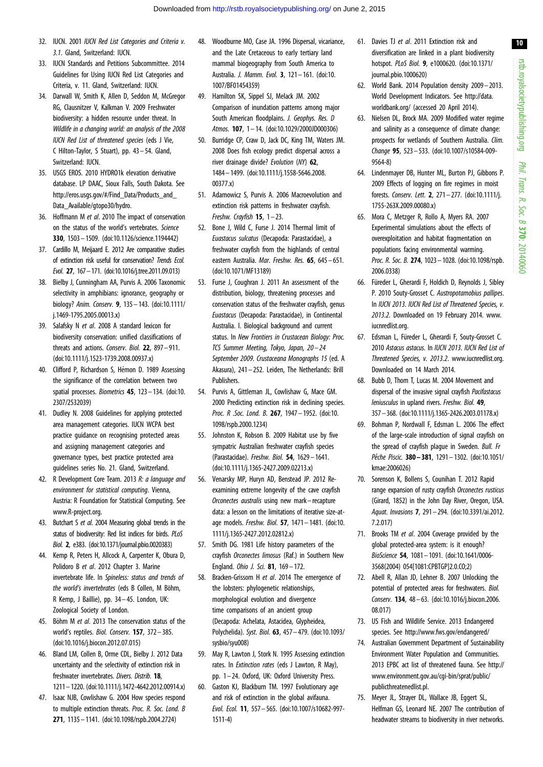- <span id="page-9-0"></span>32. IUCN. 2001 IUCN Red List Categories and Criteria v. 3.1. Gland, Switzerland: IUCN.
- 33. IUCN Standards and Petitions Subcommittee. 2014 Guidelines for Using IUCN Red List Categories and Criteria, v. 11. Gland, Switzerland: IUCN.
- 34. Darwall W, Smith K, Allen D, Seddon M, McGregor RG, Clausnitzer V, Kalkman V. 2009 Freshwater biodiversity: a hidden resource under threat. In Wildlife in a changing world: an analysis of the 2008 IUCN Red List of threatened species (eds J Vie, C Hilton-Taylor, S Stuart), pp. 43– 54. Gland, Switzerland: IUCN.
- 35. USGS EROS. 2010 HYDRO1k elevation derivative database. LP DAAC, Sioux Falls, South Dakota. See [http://eros.usgs.gov/#/Find\\_Data/Products\\_and\\_](http://eros.usgs.gov/%23/Find_Data/Products_and_Data_Available/gtopo30/hydro) Data Available/gtopo30/hydro.
- 36. Hoffmann M et al. 2010 The impact of conservation on the status of the world's vertebrates. Science 330, 1503– 1509. [\(doi:10.1126/science.1194442](http://dx.doi.org/10.1126/science.1194442))
- 37. Cardillo M, Meijaard E. 2012 Are comparative studies of extinction risk useful for conservation? Trends Ecol. Evol. 27, 167–171. [\(doi:10.1016/j.tree.2011.09.013](http://dx.doi.org/10.1016/j.tree.2011.09.013))
- 38. Bielby J, Cunningham AA, Purvis A. 2006 Taxonomic selectivity in amphibians: ignorance, geography or biology? Anim. Conserv. 9, 135– 143. ([doi:10.1111/](http://dx.doi.org/10.1111/j.1469-1795.2005.00013.x) [j.1469-1795.2005.00013.x](http://dx.doi.org/10.1111/j.1469-1795.2005.00013.x))
- 39. Salafsky N et al. 2008 A standard lexicon for biodiversity conservation: unified classifications of threats and actions. Conserv. Biol. 22, 897-911. [\(doi:10.1111/j.1523-1739.2008.00937.x](http://dx.doi.org/10.1111/j.1523-1739.2008.00937.x))
- 40. Clifford P, Richardson S, Hémon D. 1989 Assessing the significance of the correlation between two spatial processes. Biometrics 45, 123 - 134. ([doi:10.](http://dx.doi.org/10.2307/2532039) [2307/2532039\)](http://dx.doi.org/10.2307/2532039)
- 41. Dudley N. 2008 Guidelines for applying protected area management categories. IUCN WCPA best practice guidance on recognising protected areas and assigning management categories and governance types, best practice protected area guidelines series No. 21. Gland, Switzerland.
- 42. R Development Core Team. 2013 R: a language and environment for statistical computing. Vienna, Austria: R Foundation for Statistical Computing. See [www.R-project.org](http://www.R-project.org).
- 43. Butchart S et al. 2004 Measuring global trends in the status of biodiversity: Red list indices for birds. PLoS Biol. 2, e383. [\(doi:10.1371/journal.pbio.0020383\)](http://dx.doi.org/10.1371/journal.pbio.0020383)
- 44. Kemp R, Peters H, Allcock A, Carpenter K, Obura D, Polidoro B et al. 2012 Chapter 3. Marine invertebrate life. In Spineless: status and trends of the world's invertebrates (eds B Collen, M Böhm, R Kemp, J Baillie), pp. 34 – 45. London, UK: Zoological Society of London.
- 45. Böhm M et al. 2013 The conservation status of the world's reptiles. Biol. Conserv. 157, 372 – 385. [\(doi:10.1016/j.biocon.2012.07.015\)](http://dx.doi.org/10.1016/j.biocon.2012.07.015)
- 46. Bland LM, Collen B, Orme CDL, Bielby J. 2012 Data uncertainty and the selectivity of extinction risk in freshwater invertebrates. Divers. Distrib. 18, 1211–1220. ([doi:10.1111/j.1472-4642.2012.00914.x\)](http://dx.doi.org/10.1111/j.1472-4642.2012.00914.x)
- 47. Isaac NJB, Cowlishaw G. 2004 How species respond to multiple extinction threats. Proc. R. Soc. Lond. B 271, 1135– 1141. [\(doi:10.1098/rspb.2004.2724\)](http://dx.doi.org/10.1098/rspb.2004.2724)
- 48. Woodburne MO, Case JA. 1996 Dispersal, vicariance, and the Late Cretaceous to early tertiary land mammal biogeography from South America to Australia. J. Mamm. Evol. 3, 121– 161. [\(doi:10.](http://dx.doi.org/10.1007/BF01454359) [1007/BF01454359\)](http://dx.doi.org/10.1007/BF01454359)
- 49. Hamilton SK, Sippel SJ, Melack JM. 2002 Comparison of inundation patterns among major South American floodplains. J. Geophys. Res. D Atmos. 107, 1– 14. ([doi:10.1029/2000JD000306](http://dx.doi.org/10.1029/2000JD000306))
- 50. Burridge CP, Craw D, Jack DC, King TM, Waters JM. 2008 Does fish ecology predict dispersal across a river drainage divide? Evolution (NY) 62, 1484– 1499. [\(doi:10.1111/j.1558-5646.2008.](http://dx.doi.org/10.1111/j.1558-5646.2008.00377.x) [00377.x](http://dx.doi.org/10.1111/j.1558-5646.2008.00377.x))
- 51. Adamowicz S, Purvis A. 2006 Macroevolution and extinction risk patterns in freshwater crayfish. Freshw. Crayfish  $15$ ,  $1 - 23$ .
- 52. Bone J, Wild C, Furse J. 2014 Thermal limit of Euastacus sulcatus (Decapoda: Parastacidae), a freshwater crayfish from the highlands of central eastern Australia. Mar. Freshw. Res. 65, 645-651. [\(doi:10.1071/MF13189](http://dx.doi.org/10.1071/MF13189))
- 53. Furse J, Coughran J. 2011 An assessment of the distribution, biology, threatening processes and conservation status of the freshwater crayfish, genus Euastacus (Decapoda: Parastacidae), in Continental Australia. I. Biological background and current status. In New Frontiers in Crustacean Biology: Proc. TCS Summer Meeting, Tokyo, Japan, 20– 24 September 2009. Crustaceana Monographs 15 (ed. A Akasura), 241 – 252. Leiden, The Netherlands: Brill Publishers.
- 54. Purvis A, Gittleman JL, Cowlishaw G, Mace GM. 2000 Predicting extinction risk in declining species. Proc. R .Soc. Lond. B. 267, 1947– 1952. ([doi:10.](http://dx.doi.org/10.1098/rspb.2000.1234) [1098/rspb.2000.1234\)](http://dx.doi.org/10.1098/rspb.2000.1234)
- 55. Johnston K, Robson B. 2009 Habitat use by five sympatric Australian freshwater crayfish species (Parastacidae). Freshw. Biol. 54, 1629 – 1641. [\(doi:10.1111/j.1365-2427.2009.02213.x\)](http://dx.doi.org/10.1111/j.1365-2427.2009.02213.x)
- 56. Venarsky MP, Huryn AD, Benstead JP. 2012 Reexamining extreme longevity of the cave crayfish Orconectes australis using new mark –recapture data: a lesson on the limitations of iterative size-atage models. Freshw. Biol. 57, 1471– 1481. [\(doi:10.](http://dx.doi.org/10.1111/j.1365-2427.2012.02812.x) [1111/j.1365-2427.2012.02812.x](http://dx.doi.org/10.1111/j.1365-2427.2012.02812.x))
- 57. Smith DG. 1981 Life history parameters of the crayfish Orconectes limosus (Raf.) in Southern New England. *Ohio J. Sci.* **81**, 169 - 172.
- 58. Bracken-Grissom H et al. 2014 The emergence of the lobsters: phylogenetic relationships, morphological evolution and divergence time comparisons of an ancient group (Decapoda: Achelata, Astacidea, Glypheidea, Polychelida). Syst. Biol. 63, 457– 479. [\(doi:10.1093/](http://dx.doi.org/10.1093/sysbio/syu008) [sysbio/syu008\)](http://dx.doi.org/10.1093/sysbio/syu008)
- 59. May R, Lawton J, Stork N. 1995 Assessing extinction rates. In Extinction rates (eds J Lawton, R May), pp. 1– 24. Oxford, UK: Oxford University Press.
- 60. Gaston KJ, Blackburn TM. 1997 Evolutionary age and risk of extinction in the global avifauna. Evol. Ecol. 11, 557– 565. [\(doi:10.1007/s10682-997-](http://dx.doi.org/10.1007/s10682-997-1511-4) [1511-4](http://dx.doi.org/10.1007/s10682-997-1511-4))
- 61. Davies TJ et al. 2011 Extinction risk and diversification are linked in a plant biodiversity hotspot. PLoS Biol. 9, e1000620. ([doi:10.1371/](http://dx.doi.org/10.1371/journal.pbio.1000620) [journal.pbio.1000620\)](http://dx.doi.org/10.1371/journal.pbio.1000620)
- 62. World Bank. 2014 Population density 2009 2013. World Development Indicators. See [http://data.](http://data.worldbank.org/%20() [worldbank.org/ \(](http://data.worldbank.org/%20()accessed 20 April 2014).
- 63. Nielsen DL, Brock MA. 2009 Modified water regime and salinity as a consequence of climate change: prospects for wetlands of Southern Australia. Clim. Change 95, 523– 533. [\(doi:10.1007/s10584-009-](http://dx.doi.org/10.1007/s10584-009-9564-8) [9564-8](http://dx.doi.org/10.1007/s10584-009-9564-8))
- 64. Lindenmayer DB, Hunter ML, Burton PJ, Gibbons P. 2009 Effects of logging on fire regimes in moist forests. Conserv. Lett. 2, 271 – 277. ([doi:10.1111/j.](http://dx.doi.org/10.1111/j.1755-263X.2009.00080.x) [1755-263X.2009.00080.x\)](http://dx.doi.org/10.1111/j.1755-263X.2009.00080.x)
- 65. Mora C, Metzger R, Rollo A, Myers RA. 2007 Experimental simulations about the effects of overexploitation and habitat fragmentation on populations facing environmental warming. Proc. R. Soc. B. 274, 1023 - 1028. ([doi:10.1098/rspb.](http://dx.doi.org/10.1098/rspb.2006.0338) [2006.0338](http://dx.doi.org/10.1098/rspb.2006.0338))
- 66. Füreder L, Gherardi F, Holdich D, Reynolds J, Sibley P. 2010 Souty-Grosset C. Austropotamobius pallipes. In IUCN 2013. IUCN Red List of Threatened Species, v. 2013.2. Downloaded on 19 February 2014. [www.](http://www.iucnredlist.org) [iucnredlist.org](http://www.iucnredlist.org).
- 67. Edsman L, Füreder L, Gherardi F, Souty-Grosset C. 2010 Astacus astacus. In IUCN 2013. IUCN Red List of Threatened Species, v. 2013.2. [www.iucnredlist.org.](http://www.iucnredlist.org) Downloaded on 14 March 2014.
- 68. Bubb D, Thom T, Lucas M. 2004 Movement and dispersal of the invasive signal crayfish Pacifastacus leniusculus in upland rivers. Freshw. Biol. 49, 357–368. [\(doi:10.1111/j.1365-2426.2003.01178.x](http://dx.doi.org/10.1111/j.1365-2426.2003.01178.x))
- 69. Bohman P, Nordwall F, Edsman L. 2006 The effect of the large-scale introduction of signal crayfish on the spread of crayfish plague in Sweden. Bull. Fr Pêche Piscic. 380 - 381, 1291 - 1302. [\(doi:10.1051/](http://dx.doi.org/10.1051/kmae:2006026) [kmae:2006026](http://dx.doi.org/10.1051/kmae:2006026))
- 70. Sorenson K, Bollens S, Counihan T. 2012 Rapid range expansion of rusty crayfish Orconectes rusticus (Girard, 1852) in the John Day River, Oregon, USA. Aquat. Invasions 7, 291 – 294. ([doi:10.3391/ai.2012.](http://dx.doi.org/10.3391/ai.2012.7.2.017) [7.2.017\)](http://dx.doi.org/10.3391/ai.2012.7.2.017)
- 71. Brooks TM et al. 2004 Coverage provided by the global protected-area system: is it enough? BioScience 54, 1081– 1091. ([doi:10.1641/0006-](http://dx.doi.org/10.1641/0006-3568(2004)054[1081:CPBTGP]2.0.CO;2) [3568\(2004\) 054\[1081:CPBTGP\]2.0.CO;2](http://dx.doi.org/10.1641/0006-3568(2004)054[1081:CPBTGP]2.0.CO;2))
- 72. Abell R, Allan JD, Lehner B. 2007 Unlocking the potential of protected areas for freshwaters. Biol. Conserv. 134, 48 – 63. ([doi:10.1016/j.biocon.2006.](http://dx.doi.org/10.1016/j.biocon.2006.08.017) [08.017](http://dx.doi.org/10.1016/j.biocon.2006.08.017))
- 73. US Fish and Wildlife Service. 2013 Endangered species. See<http://www.fws.gov/endangered/>
- 74. Australian Government Department of Sustainability Environment Water Population and Communities. 2013 EPBC act list of threatened fauna. See [http://](http://www.environment.gov.au/cgi-bin/sprat/public/publicthreatenedlist.pl) [www.environment.gov.au/cgi-bin/sprat/public/](http://www.environment.gov.au/cgi-bin/sprat/public/publicthreatenedlist.pl) [publicthreatenedlist.pl.](http://www.environment.gov.au/cgi-bin/sprat/public/publicthreatenedlist.pl)
- 75. Meyer JL, Strayer DL, Wallace JB, Eggert SL, Helfman GS, Leonard NE. 2007 The contribution of headwater streams to biodiversity in river networks.

Phil. Trans.

 R.Soc. B

370: 20140060